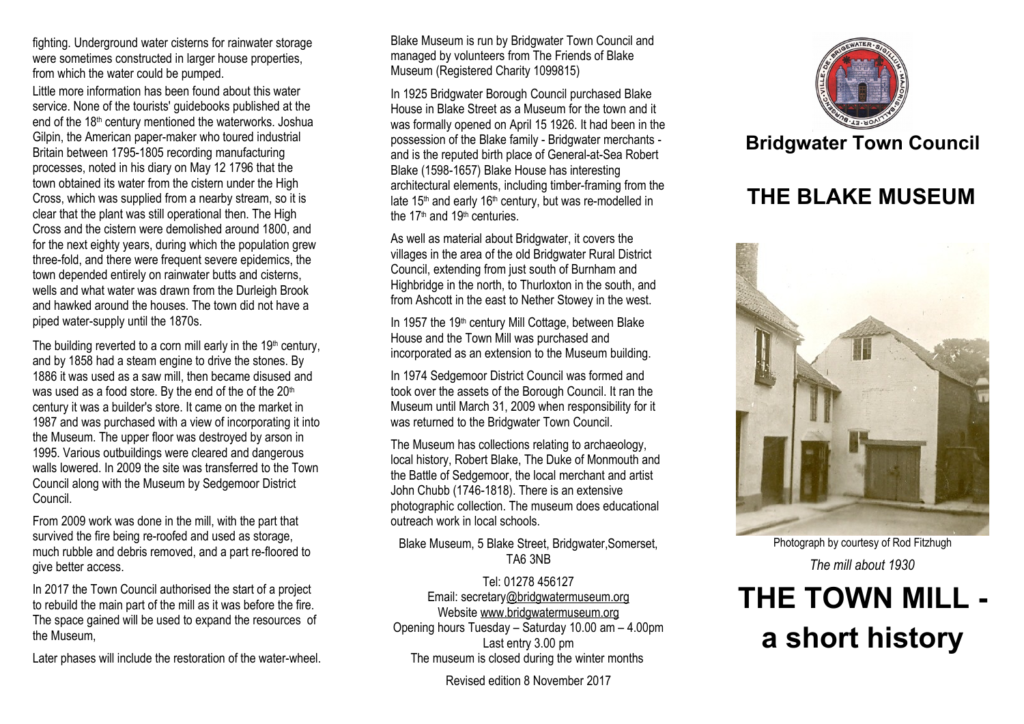fighting. Underground water cisterns for rainwater storage were sometimes constructed in larger house properties, from which the water could be pumped.

Little more information has been found about this water service. None of the tourists' guidebooks published at the end of the 18<sup>th</sup> century mentioned the waterworks. Joshua Gilpin, the American paper-maker who toured industrial Britain between 1795-1805 recording manufacturing processes, noted in his diary on May 12 1796 that the town obtained its water from the cistern under the High Cross, which was supplied from a nearby stream, so it is clear that the plant was still operational then. The High Cross and the cistern were demolished around 1800, and for the next eighty years, during which the population grew three-fold, and there were frequent severe epidemics, the town depended entirely on rainwater butts and cisterns, wells and what water was drawn from the Durleigh Brook and hawked around the houses. The town did not have a piped water-supply until the 1870s.

The building reverted to a corn mill early in the  $19<sup>th</sup>$  century, and by 1858 had a steam engine to drive the stones. By 1886 it was used as a saw mill, then became disused and was used as a food store. By the end of the of the 20<sup>th</sup> century it was a builder's store. It came on the market in 1987 and was purchased with a view of incorporating it into the Museum. The upper floor was destroyed by arson in 1995. Various outbuildings were cleared and dangerous walls lowered. In 2009 the site was transferred to the Town Council along with the Museum by Sedgemoor District Council.

From 2009 work was done in the mill, with the part that survived the fire being re-roofed and used as storage, much rubble and debris removed, and a part re-floored to give better access.

In 2017 the Town Council authorised the start of a project to rebuild the main part of the mill as it was before the fire. The space gained will be used to expand the resources of the Museum,

Later phases will include the restoration of the water-wheel.

Blake Museum is run by Bridgwater Town Council and managed by volunteers from The Friends of Blake Museum (Registered Charity 1099815)

In 1925 Bridgwater Borough Council purchased Blake House in Blake Street as a Museum for the town and it was formally opened on April 15 1926. It had been in the possession of the Blake family - Bridgwater merchants and is the reputed birth place of General-at-Sea Robert Blake (1598-1657) Blake House has interesting architectural elements, including timber-framing from the late 15<sup>th</sup> and early 16<sup>th</sup> century, but was re-modelled in the 17th and 19th centuries.

As well as material about Bridgwater, it covers the villages in the area of the old Bridgwater Rural District Council, extending from just south of Burnham and Highbridge in the north, to Thurloxton in the south, and from Ashcott in the east to Nether Stowey in the west.

In 1957 the 19<sup>th</sup> century Mill Cottage, between Blake House and the Town Mill was purchased and incorporated as an extension to the Museum building.

In 1974 Sedgemoor District Council was formed and took over the assets of the Borough Council. It ran the Museum until March 31, 2009 when responsibility for it was returned to the Bridgwater Town Council.

The Museum has collections relating to archaeology, local history, Robert Blake, The Duke of Monmouth and the Battle of Sedgemoor, the local merchant and artist John Chubb (1746-1818). There is an extensive photographic collection. The museum does educational outreach work in local schools.

#### Blake Museum, 5 Blake Street, Bridgwater,Somerset, TA6 3NB

Tel: 01278 456127 Email: secretar[y@bridgwatermuseum.org](mailto:info@bridgwater.museum.org) Website [www.bridgwatermuseum.org](http://www.bridgwatermuseum.org/) Opening hours Tuesday – Saturday 10.00 am – 4.00pm Last entry 3.00 pm The museum is closed during the winter months

Revised edition 8 November 2017



## **Bridgwater Town Council**

## **THE BLAKE MUSEUM**



Photograph by courtesy of Rod Fitzhugh *The mill about 1930*

# **THE TOWN MILL a short history**